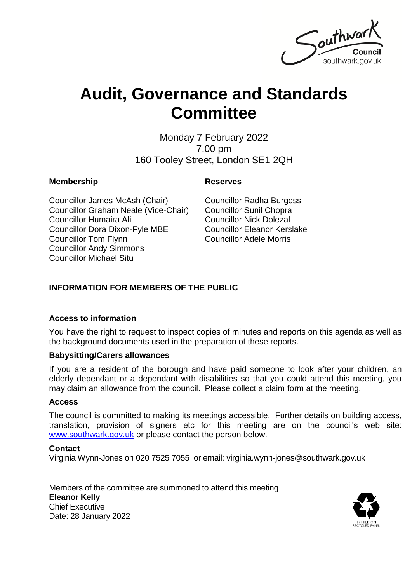

# **Audit, Governance and Standards Committee**

Monday 7 February 2022 7.00 pm 160 Tooley Street, London SE1 2QH

### **Membership Reserves**

Councillor James McAsh (Chair) Councillor Graham Neale (Vice-Chair) Councillor Humaira Ali Councillor Dora Dixon-Fyle MBE Councillor Tom Flynn Councillor Andy Simmons Councillor Michael Situ

Councillor Radha Burgess Councillor Sunil Chopra Councillor Nick Dolezal Councillor Eleanor Kerslake Councillor Adele Morris

### **INFORMATION FOR MEMBERS OF THE PUBLIC**

### **Access to information**

You have the right to request to inspect copies of minutes and reports on this agenda as well as the background documents used in the preparation of these reports.

### **Babysitting/Carers allowances**

If you are a resident of the borough and have paid someone to look after your children, an elderly dependant or a dependant with disabilities so that you could attend this meeting, you may claim an allowance from the council. Please collect a claim form at the meeting.

### **Access**

The council is committed to making its meetings accessible. Further details on building access, translation, provision of signers etc for this meeting are on the council's web site: [www.southwark.gov.uk](http://www.southwark.gov.uk/Public/Home.aspx) or please contact the person below.

### **Contact**

Virginia Wynn-Jones on 020 7525 7055 or email: virginia.wynn-jones@southwark.gov.uk

Members of the committee are summoned to attend this meeting **Eleanor Kelly** Chief Executive Date: 28 January 2022

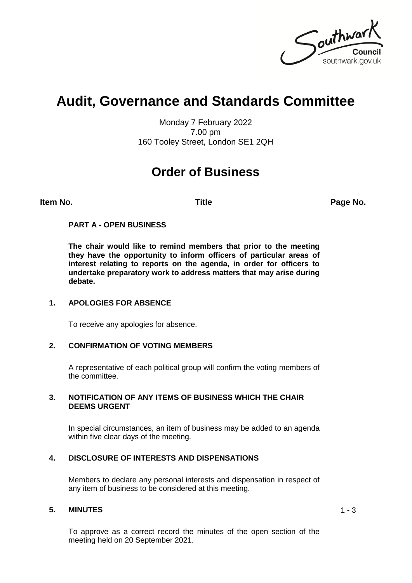Southward southwark.gov.uk

## **Audit, Governance and Standards Committee**

Monday 7 February 2022 7.00 pm 160 Tooley Street, London SE1 2QH

### **Order of Business**

**Item No. Title Page No.**

### **PART A - OPEN BUSINESS**

**The chair would like to remind members that prior to the meeting they have the opportunity to inform officers of particular areas of interest relating to reports on the agenda, in order for officers to undertake preparatory work to address matters that may arise during debate.**

### **1. APOLOGIES FOR ABSENCE**

To receive any apologies for absence.

### **2. CONFIRMATION OF VOTING MEMBERS**

A representative of each political group will confirm the voting members of the committee.

#### **3. NOTIFICATION OF ANY ITEMS OF BUSINESS WHICH THE CHAIR DEEMS URGENT**

In special circumstances, an item of business may be added to an agenda within five clear days of the meeting.

### **4. DISCLOSURE OF INTERESTS AND DISPENSATIONS**

Members to declare any personal interests and dispensation in respect of any item of business to be considered at this meeting.

### **5. MINUTES** 1 - 3

To approve as a correct record the minutes of the open section of the meeting held on 20 September 2021.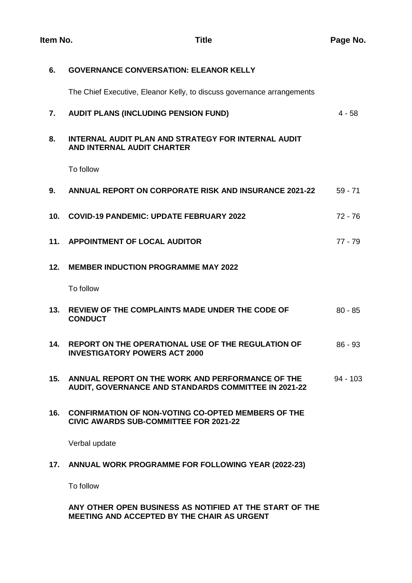| 6.              | <b>GOVERNANCE CONVERSATION: ELEANOR KELLY</b>                                                              |            |
|-----------------|------------------------------------------------------------------------------------------------------------|------------|
|                 | The Chief Executive, Eleanor Kelly, to discuss governance arrangements                                     |            |
| 7.              | <b>AUDIT PLANS (INCLUDING PENSION FUND)</b>                                                                | $4 - 58$   |
| 8.              | <b>INTERNAL AUDIT PLAN AND STRATEGY FOR INTERNAL AUDIT</b><br>AND INTERNAL AUDIT CHARTER                   |            |
|                 | To follow                                                                                                  |            |
| 9.              | <b>ANNUAL REPORT ON CORPORATE RISK AND INSURANCE 2021-22</b>                                               | $59 - 71$  |
| 10 <sub>1</sub> | <b>COVID-19 PANDEMIC: UPDATE FEBRUARY 2022</b>                                                             | $72 - 76$  |
| 11.             | <b>APPOINTMENT OF LOCAL AUDITOR</b>                                                                        | $77 - 79$  |
| 12.             | <b>MEMBER INDUCTION PROGRAMME MAY 2022</b>                                                                 |            |
|                 | To follow                                                                                                  |            |
| 13.             | <b>REVIEW OF THE COMPLAINTS MADE UNDER THE CODE OF</b><br><b>CONDUCT</b>                                   | $80 - 85$  |
| 14.             | <b>REPORT ON THE OPERATIONAL USE OF THE REGULATION OF</b><br><b>INVESTIGATORY POWERS ACT 2000</b>          | $86 - 93$  |
| 15.             | ANNUAL REPORT ON THE WORK AND PERFORMANCE OF THE<br>AUDIT, GOVERNANCE AND STANDARDS COMMITTEE IN 2021-22   | $94 - 103$ |
| 16.             | <b>CONFIRMATION OF NON-VOTING CO-OPTED MEMBERS OF THE</b><br><b>CIVIC AWARDS SUB-COMMITTEE FOR 2021-22</b> |            |
|                 | Verbal update                                                                                              |            |
| 17.             | ANNUAL WORK PROGRAMME FOR FOLLOWING YEAR (2022-23)                                                         |            |

To follow

**ANY OTHER OPEN BUSINESS AS NOTIFIED AT THE START OF THE MEETING AND ACCEPTED BY THE CHAIR AS URGENT**